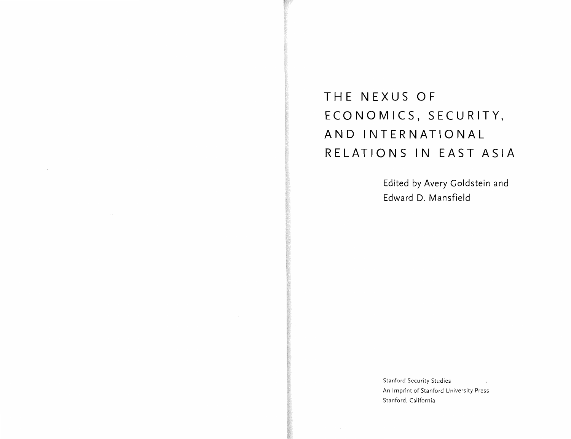# **THE NEXUS OF ECONOMICS, SECURITY, AND INTERNATIONAL RELATIONS IN EAST ASIA**

**Edited by Avery Goldstein and Edward D. Mansfield** 

Stanford Security Studies An Imprint of Stanford University Press Stanford, California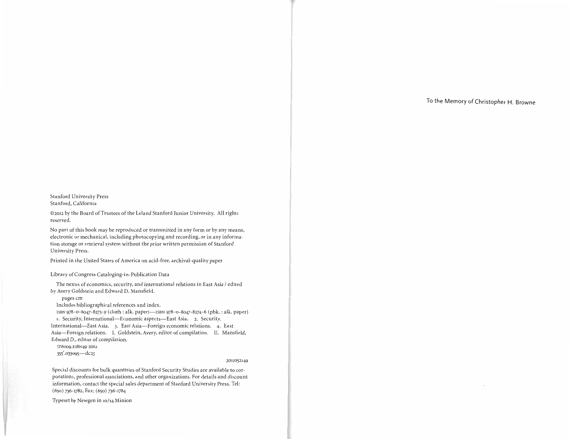# **To the Memory of Christopher H. Browne**

#### Stanford University Press Stanford, California

©2012 by the Board of Trustees of the Leland Stanford Junior University. All rights reserved.

No part of this book may be reproduced or transmitted in any form or by any means, electronic or mechanical, including photocopying and recording, or in any information storage or retrieval system without the prior written permission of Stanford University Press.

Printed in the United States of America on acid-free, archival-quality paper

#### Library of Congress Cataloging-in-Publication Data

The nexus of economics, security, and international relations in East Asia / edited by Avery Goldstein and Edward D. Mansfield.

pages em

Includes bibliographical references and index.

ISBN 978-0-8047-8273-9 (cloth: alk. paper)-ISBN 978-0-8047-8274-6 (pbk.: alk. paper) 1. Security, International-Economic aspects-East Asia. 2. Security,

International-East Asia. 3. East Asia-Foreign economic relations. 4. East Asia-Foreign relations. I. Goldstein, Avery, editor of compilation. II. Mansfield, Edward D., editor of compilation.

JZ6009.E18N49 2012

355'.033095-dc23

#### 2011052149

Special discounts for bulk quantities of Stanford Security Studies are available to corporations, professional associations, and other organizations. For details and discount information, contact the special sales department of Stanford University Press. Tel: (6so) 736-1782, Fax: (6so) 736-1784

Typeset by Newgen in 10/14 Minion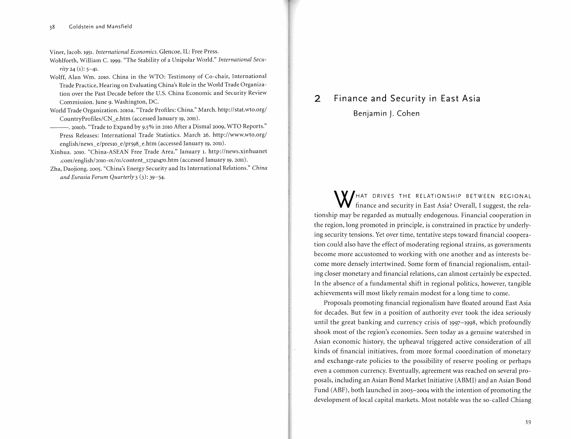Viner, Jacob. 1951. *International Economics.* Glencoe, IL: Free Press.

- Wohlfarth, William C. 1999. "The Stability of a Unipolar World." *International Secu* $ritv$  24  $(1)$ : 5-41.
- Wolff, Alan Wm. 2010. China in the WTO: Testimony of Co-chair, International Trade Practice, Hearing on Evaluating China's Role in the World Trade Organization over the Past Decade before the U.S. China Economic and Security Review Commission. June 9. Washington, DC.
- World Trade Organization. 201oa. "Trade Profiles: China." March. http://stat.wto.org/ CountryProfiles/CN\_e.htm (accessed January 19, 2011).
- -. 2010b. "Trade to Expand by 9.5% in 2010 After a Dismal 2009, WTO Reports." Press Releases: International Trade Statistics. March 26. http://www.wto.org/ english/news\_e/pres10\_e/pr598\_e.htm (accessed January 19, 2011).
- Xinhua. 2010. "China-ASEAN Free Trade Area." January 1. http:/ /news.xinhuanet .com/english/2010-01/01/content\_12740470.htm (accessed January 19, 2011).
- Zha, Daojiong. 2005. "China's Energy Security and Its International Relations." *China and Eurasia Forum Quarterly* 3 (3): 39-54.

# **2 Finance and Security in East Asia**

**Benjamin J. Cohen** 

WHAT DRIVES THE RELATIONSHIP BETWEEN REGIONAL finance and security in East Asia? Overall, I suggest, the relationship may be regarded as mutually endogenous. Financial cooperation in the region, long promoted in principle, is constrained in practice by underlying security tensions. Yet over time, tentative steps toward financial cooperation could also have the effect of moderating regional strains, as governments become more accustomed to working with one another and as interests become more densely intertwined. Some form of financial regionalism, entailing closer monetary and financial relations, can almost certainly be expected. In the absence of a fundamental shift in regional politics, however, tangible achievements will most likely remain modest for a long time to come.

Proposals promoting financial regionalism have floated around East Asia for decades. But few in a position of authority ever took the idea seriously until the great banking and currency crisis of 1997-1998, which profoundly shook most of the region's economies. Seen today as a genuine watershed in Asian economic history, the upheaval triggered active consideration of all kinds of financial initiatives, from more formal coordination of monetary and exchange-rate policies to the possibility of reserve pooling or perhaps even a common currency. Eventually, agreement was reached on several proposals, including an Asian Bond Market Initiative (ABMI) and an Asian Bond Fund (ABF), both launched in 2003-2004 with the intention of promoting the development of local capital markets. Most notable was the so-called Chiang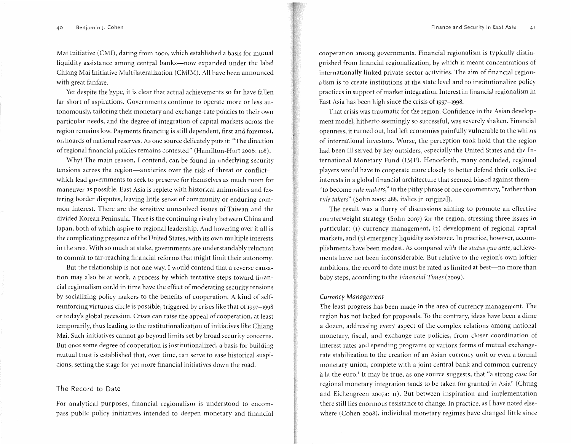Mai Initiative (CMI), dating from 2000, which established a basis for mutual liquidity assistance among central banks-now expanded under the label Chiang Mai Initiative Multilateralization ( CMIM). All have been announced with great fanfare.

Yet despite the hype, it is clear that actual achievements so far have fallen far short of aspirations. Governments continue to operate more or less autonomously, tailoring their monetary and exchange-rate policies to their own particular needs, and the degree of integration of capital markets across the region remains low. Payments financing is still dependent, first and foremost, on hoards of national reserves. As one source delicately puts it: "The direction of regional financial policies remains contested" (Hamilton-Hart 2006: 108).

Why? The main reason, I contend, can be found in underlying security tensions across the region-anxieties over the risk of threat or conflictwhich lead governments to seek to preserve for themselves as much room for maneuver as possible. East Asia is replete with historical animosities and festering border disputes, leaving little sense of community or enduring common interest. There are the sensitive unresolved issues of Taiwan and the divided Korean Peninsula. There is the continuing rivalry between China and Japan, both of which aspire to regional leadership. And hovering over it all is the complicating presence of the United States, with its own multiple interests in the area. With so much at stake, governments are understandably reluctant to commit to far-reaching financial reforms that might limit their autonomy.

But the relationship is not one way. I would contend that a reverse causation may also be at work, a process by which tentative steps toward financial regionalism could in time have the effect of moderating security tensions by socializing policy makers to the benefits of cooperation. A kind of selfreinforcing virtuous circle is possible, triggered by crises like that of 1997-1998 or today's global recession. Crises can raise the appeal of cooperation, at least temporarily, thus leading to the institutionalization of initiatives like Chiang Mai. Such initiatives cannot go beyond limits set by broad security concerns. But once some degree of cooperation is institutionalized, a basis for building mutual trust is established that, over time, can serve to ease historical suspicions, setting the stage for yet more financial initiatives down the road.

# The Record to Date

For analytical purposes, financial regionalism is understood to encompass public policy initiatives intended to deepen monetary and financial cooperation among governments. Financial regionalism is typically distinguished from financial regionalization, by which is meant concentrations of internationally linked private-sector activities. The aim of financial regionalism is to create institutions at the state level and to institutionalize policy practices in support of market integration. Interest in financial regionalism in East Asia has been high since the crisis of 1997-1998.

That crisis was traumatic for the region. Confidence in the Asian development model, hitherto seemingly so successful, was severely shaken. Financial openness, it turned out, had left economies painfully vulnerable to the whims of international investors. Worse, the perception took hold that the region had been ill served by key outsiders, especially the United States and the International Monetary Fund (IMF). Henceforth, many concluded, regional players would have to cooperate more closely to better defend their collective interests in a global financial architecture that seemed biased against them— "to become *rule makers,"* in the pithy phrase of one commentary, "rather than *rule takers"* ( Sohn 2005: 488, italics in original).

The result was a flurry of discussions aiming to promote an effective counterweight strategy (Sohn 2007) for the region, stressing three issues in particular: (1) currency management, (2) development of regional capital markets, and (3) emergency liquidity assistance. In practice, however, accomplishments have been modest. As compared with the *status quo ante,* achievements have not been inconsiderable. But relative to the region's own loftier ambitions, the record to date must be rated as limited at best-no more than baby steps, according to the *Financial Times* (2009).

#### *Currency Management*

The least progress has been made in the area of currency management. The region has not lacked for proposals. To the contrary, ideas have been a dime a dozen, addressing every aspect of the complex relations among national monetary, fiscal, and exchange-rate policies, from closer coordination of interest rates and spending programs or various forms of mutual exchangerate stabilization to the creation of an Asian currency unit or even a formal monetary union, complete with a joint central bank and common currency à la the euro.<sup>1</sup> It may be true, as one source suggests, that "a strong case for regional monetary integration tends to be taken for granted in Asia" (Chung and Eichengreen 2007a: n). But between inspiration and implementation there still lies enormous resistance to change. In practice, as I have noted elsewhere (Cohen 2008), individual monetary regimes have changed little since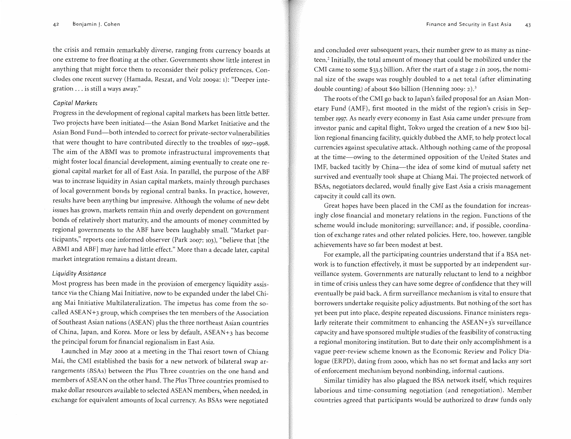the crisis and remain remarkably diverse, ranging from currency boards at one extreme to free floating at the other. Governments show little interest in anything that might force them to reconsider their policy preferences. Concludes one recent survey (Hamada, Reszat, and Volz 2009a: 1): "Deeper integration ... is still a ways away."

#### *Capital Markets*

Progress in the development of regional capital markets has been little better. Two projects have been initiated-the Asian Bond Market Initiative and the Asian Bond Fund-both intended to correct for private-sector vulnerabilities that were thought to have contributed directly to the troubles of 1997-1998. The aim of the ABMI was to promote infrastructural improvements that might foster local financial development, aiming eventually to create one regional capital market for all of East Asia. In parallel, the purpose of the ABF was to increase liquidity in Asian capital markets, mainly through purchases of local government bonds by regional central banks. In practice, however, results have been anything but impressive. Although the volume of new debt issues has grown, markets remain thin and overly dependent on government bonds of relatively short maturity, and the amounts of money committed by regional governments to the ABF have been laughably small. "Market participants," reports one informed observer (Park 2007: 103), "believe that [the ABMI and ABF] may have had little effect." More than a decade later, capital market integration remains a distant dream.

#### *Liquidity Assistance*

Most progress has been made in the provision of emergency liquidity assistance via the Chiang Mai Initiative, now to be expanded under the label Chiang Mai Initiative Multilateralization. The impetus has come from the socalled ASEAN +3 group, which comprises the ten members of the Association of Southeast Asian nations (ASEAN) plus the three northeast Asian countries of China, Japan, and Korea. More or less by default, ASEAN+3 has become the principal forum for financial regionalism in East Asia.

Launched in May 2000 at a meeting in the Thai resort town of Chiang Mai, the CMI established the basis for a new network of bilateral swap arrangements (BSAs) between the Plus Three countries on the one hand and members of ASEAN on the other hand. The Plus Three countries promised to make dollar resources available to selected ASEAN members, when needed, in exchange for equivalent amounts of local currency. As BSAs were negotiated

and concluded over subsequent years, their number grew to as many as nineteen.<sup>2</sup> Initially, the total amount of money that could be mobilized under the CMI came to some \$33.5 billion. After the start of a stage 2 in 2005, the nominal size of the swaps was roughly doubled to a net total (after eliminating double counting) of about \$6o billion (Henning 2009: 2). <sup>3</sup>

The roots of the CMI go back to Japan's failed proposal for an Asian Monetary Fund (AMF), first mooted in the midst of the region's crisis in September 1997. As nearly every economy in East Asia came under pressure from investor panic and capital flight, Tokyo urged the creation of a new \$100 billion regional financing facility, quickly dubbed the AMF, to help protect local currencies against speculative attack. Although nothing came of the proposal at the time-owing to the determined opposition of the United States and IMF, backed tacitly by China-the idea of some kind of mutual safety net survived and eventually took shape at Chiang Mai. The projected network of BSAs, negotiators declared, would finally give East Asia a crisis management capacity it could call its own.

Great hopes have been placed in the CMI as the foundation for increasingly close financial and monetary relations in the region. Functions of the scheme would include monitoring; surveillance; and, if possible, coordination of exchange rates and other related policies. Here, too, however, tangible achievements have so far been modest at best.

For example, all the participating countries understand that if a BSA network is to function effectively, it must be supported by an independent surveillance system. Governments are naturally reluctant to lend to a neighbor in time of crisis unless they can have some degree of confidence that they will eventually be paid back. A firm surveillance mechanism is vital to ensure that borrowers undertake requisite policy adjustments. But nothing of the sort has yet been put into place, despite repeated discussions. Finance ministers regularly reiterate their commitment to enhancing the ASEAN+3's surveillance capacity and have sponsored multiple studies of the feasibility of constructing a regional monitoring institution. But to date their only accomplishment is a vague peer-review scheme known as the Economic Review and Policy Dialogue (ERPD), dating from 2000, which has no set format and lacks any sort of enforcement mechanism beyond nonbinding, informal cautions.

Similar timidity has also plagued the BSA network itself, which requires laborious and time-consuming negotiation (and renegotiation). Member countries agreed that participants would be authorized to draw funds only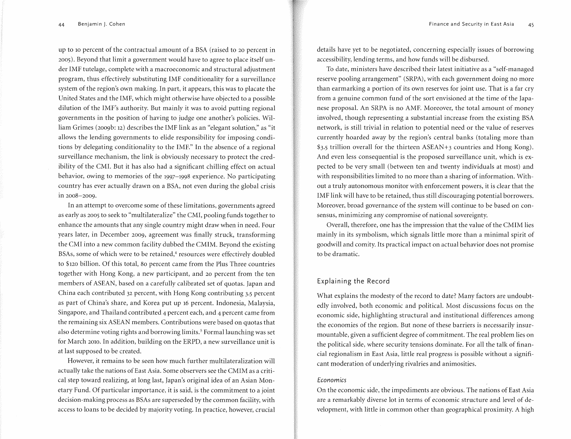up to 10 percent of the contractual amount of a BSA (raised to 20 percent in 2005). Beyond that limit a government would have to agree to place itself under IMF tutelage, complete with a macroeconomic and structural adjustment program, thus effectively substituting IMF conditionality for a surveillance system of the region's own making. In part, it appears, this was to placate the United States and the IMF, which might otherwise have objected to a possible dilution of the IMF's authority. But mainly it was to avoid putting regional governments in the position of having to judge one another's policies. William Grimes (2009b: 12) describes the IMF link as an "elegant solution," as "it allows the lending governments to elide responsibility for imposing conditions by delegating conditionality to the IMF." In the absence of a regional surveillance mechanism, the link is obviously necessary to protect the credibility of the CMI. But it has also had a significant chilling effect on actual behavior, owing to memories of the 1997-1998 experience. No participating country has ever actually drawn on a BSA, not even during the global crisis in 2oo8-2009.

In an attempt to overcome some of these limitations, governments agreed as early as 2005 to seek to "multilateralize" the CMI, pooling funds together to enhance the amounts that any single country might draw when in need. Four years later, in December 2009, agreement was finally struck, transforming the CMI into a new common facility dubbed the CMIM. Beyond the existing BSAs, some of which were to be retained,<sup>4</sup> resources were effectively doubled to \$120 billion. Of this total, So percent came from the Plus Three countries together with Hong Kong, a new participant, and 20 percent from the ten members of ASEAN, based on a carefully calibrated set of quotas. Japan and China each contributed 32 percent, with Hong Kong contributing 3·5 percent as part of China's share, and Korea put up 16 percent. Indonesia, Malaysia, Singapore, and Thailand contributed 4 percent each, and 4 percent came from the remaining six ASEAN members. Contributions were based on quotas that also determine voting rights and borrowing limits. 5 Formal launching was set for March 2010. In addition, building on the ERPD, a new surveillance unit is at last supposed to be created.

However, it remains to be seen how much further multilateralization will actually take the nations of East Asia. Some observers see the CMIM as a critical step toward realizing, at long last, Japan's original idea of an Asian Monetary Fund. Of particular importance, it is said, is the commitment to a joint decision-making process as BSAs are superseded by the common facility, with access to loans to be decided by majority voting. In practice, however, crucial details have yet to be negotiated, concerning especially issues of borrowing accessibility, lending terms, and how funds will be disbursed.

To date, ministers have described their latest initiative as a "self-managed reserve pooling arrangement" ( SRPA), with each government doing no more than earmarking a portion of its own reserves for joint use. That is a far cry from a genuine common fund of the sort envisioned at the time of the Japanese proposal. An SRPA is no AMF. Moreover, the total amount of money involved, though representing a substantial increase from the existing BSA network, is still trivial in relation to potential need or the value of reserves currently hoarded away by the region's central banks (totaling more than \$3.5 trillion overall for the thirteen ASEAN+3 countries and Hong Kong). And even less consequential is the proposed surveillance unit, which is expected to be very small (between ten and twenty individuals at most) and with responsibilities limited to no more than a sharing of information. Without a truly autonomous monitor with enforcement powers, it is clear that the IMF link will have to be retained, thus still discouraging potential borrowers. Moreover, broad governance of the system will continue to be based on consensus, minimizing any compromise of national sovereignty.

Overall, therefore, one has the impression that the value of the CMIM lies mainly in its symbolism, which signals little more than a minimal spirit of goodwill and comity. Its practical impact on actual behavior does not promise to be dramatic.

# Explaining the Record

What explains the modesty of the record to date? Many factors are undoubtedly involved, both economic and political. Most discussions focus on the economic side, highlighting structural and institutional differences among the economies of the region. But none of these barriers is necessarily insurmountable, given a sufficient degree of commitment. The real problem lies on the political side, where security tensions dominate. For all the talk of financial regionalism in East Asia, little real progress is possible without a significant moderation of underlying rivalries and animosities.

#### *Economics*

On the economic side, the impediments are obvious. The nations of East Asia are a remarkably diverse lot in terms of economic structure and level of development, with little in common other than geographical proximity. A high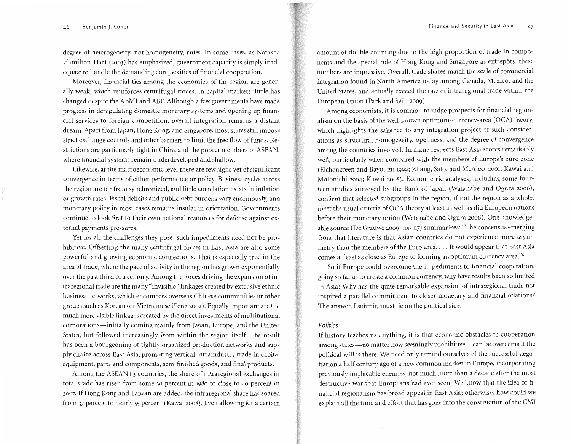degree of heterogeneity, not homogeneity, rules. In some cases, as Natasha Hamilton-Hart (2003) has emphasized, government capacity is simply inadequate to handle the demanding complexities of financial cooperation.

Moreover, financial ties among the economies of the region are generally weak, which reinforces centrifugal forces. In capital markets, little has changed despite the ABMI and ABF. Although a few governments have made progress in deregulating domestic monetary systems and opening up financial services to foreign competition, overall integration remains a distant dream. Apart from Japan, Hong Kong, and Singapore, most states still impose strict exchange controls and other barriers to limit the free flow of funds. Restrictions are particularly tight in China and the poorer members of ASEAN, where financial systems remain underdeveloped and shallow.

Likewise, at the macroeconomic level there are few signs yet of significant convergence in terms of either performance or policy. Business cycles across the region are far from synchronized, and little correlation exists in inflation or growth rates. Fiscal deficits and public debt burdens vary enormously, and monetary policy in most cases remains insular in orientation. Governments continue to look first to their own national resources for defense against external payments pressures.

Yet for all the challenges they pose, such impediments need not be prohibitive. Offsetting the many centrifugal forces in East Asia are also some powerful and growing economic connections. That is especially true in the area of trade, where the pace of activity in the region has grown exponentially over the past third of a century. Among the forces driving the expansion of intraregional trade are the many "invisible" linkages created by extensive ethnic business networks, which encompass overseas Chinese communities or other groups such as Koreans or Vietnamese (Peng 2002). Equally important are the much more visible linkages created by the direct investments of multinational corporations-initially coming mainly from Japan, Europe, and the United States, but followed increasingly from within the region itself. The result has been a bourgeoning of tightly organized production networks and supply chains across East Asia, promoting vertical intraindustry trade in capital equipment, parts and components, semifinished goods, and final products.

Among the ASEAN+3 countries, the share of intraregional exchanges in total trade has risen from some 30 percent in 1980 to close to 40 percent in 2007. If Hong Kong and Taiwan are added, the intraregional share has soared from 37 percent to nearly 55 percent (Kawai 2008). Even allowing for a certain amount of double counting due to the high proportion of trade in components and the special role of Hong Kong and Singapore as entrepôts, these numbers are impressive. Overall, trade shares match the scale of commercial integration found in North America today among Canada, Mexico, and the United States, and actually exceed the rate of intraregional trade within the European Union (Park and Shin 2009).

Among economists, it is common to judge prospects for financial regionalism on the basis of the well-known optimum-currency-area (OCA) theory, which highlights the salience to any integration project of such considerations as structural homogeneity, openness, and the degree of convergence among the countries involved. In many respects East Asia scores remarkably well, particularly when compared with the members of Europe's euro zone (Eichengreen and Bayoumi 1999; Zhang, Sato, and McAleer 2001; Kawai and Motonishi 2004; Kawai 2008). Econometric analyses, including some fourteen studies surveyed by the Bank of Japan (Watanabe and Ogura 2006), confirm that selected subgroups in the region, if not the region as a whole, meet the usual criteria of OCA theory at least as well as did European nations before their monetary union (Watanabe and Ogura 2006). One knowledgeable source (De Grauwe 2009: 115-117) summarizes: "The consensus emerging from that literature is that Asian countries do not experience more asymmetry than the members of the Euro area .... It would appear that East Asia comes at least as close as Europe to forming an optimum currency area."6

So if Europe could overcome the impediments to financial cooperation, going so far as to create a common currency, why have results been so limited in Asia? Why has the quite remarkable expansion of intraregional trade not inspired a parallel commitment to closer monetary and financial relations? The answer, I submit, must lie on the political side.

#### *Politics*

If history teaches us anything, it is that economic obstacles to cooperation among states--no matter how seemingly prohibitive--can be overcome if the political will is there. We need only remind ourselves of the successful negotiation a half century ago of a new common market in Europe, incorporating previously implacable enemies, not much more than a decade after the most destructive war that Europeans had ever seen. We know that the idea of financial regionalism has broad appeal in East Asia; otherwise, how could we explain all the time and effort that has gone into the construction of the CMI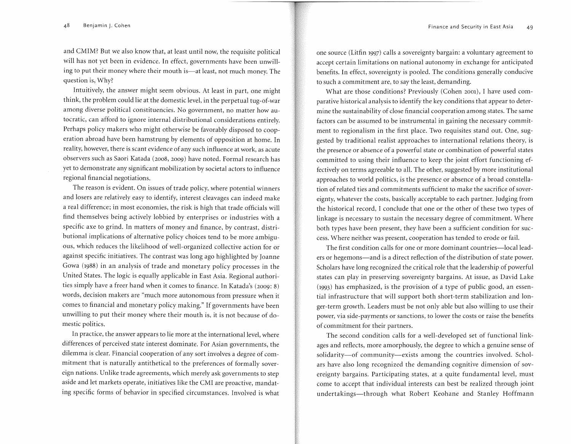and CMIM? But we also know that, at least until now, the requisite political will has not yet been in evidence. In effect, governments have been unwilling to put their money where their mouth is-at least, not much money. The question is, Why?

Intuitively, the answer might seem obvious. At least in part, one might think, the problem could lie at the domestic level, in the perpetual tug-of-war among diverse political constituencies. No government, no matter how autocratic, can afford to ignore internal distributional considerations entirely. Perhaps policy makers who might otherwise be favorably disposed to cooperation abroad have been hamstrung by elements of opposition at home. In reality, however, there is scant evidence of any such influence at work, as acute observers such as Saori Katada (2008, 2009) have noted. Formal research has yet to demonstrate any significant mobilization by societal actors to influence regional financial negotiations.

The reason is evident. On issues of trade policy, where potential winners and losers are relatively easy to identify, interest cleavages can indeed make a real difference; in most economies, the risk is high that trade officials will find themselves being actively lobbied by enterprises or industries with a specific axe to grind. In matters of money and finance, by contrast, distributional implications of alternative policy choices tend to be more ambiguous, which reduces the likelihood of well-organized collective action for or against specific initiatives. The contrast was long ago highlighted by Joanne Gowa (1988) in an analysis of trade and monetary policy processes in the United States. The logic is equally applicable in East Asia. Regional authorities simply have a freer hand when it comes to finance. In Katada's (2009: 8) words, decision makers are "much more autonomous from pressure when it comes to financial and monetary policy making." If governments have been unwilling to put their money where their mouth is, it is not because of domestic politics.

In practice, the answer appears to lie more at the international level, where differences of perceived state interest dominate. For Asian governments, the dilemma is clear. Financial cooperation of any sort involves a degree of commitment that is naturally antithetical to the preferences of formally sovereign nations. Unlike trade agreements, which merely ask governments to step aside and let markets operate, initiatives like the CMI are proactive, mandating specific forms of behavior in specified circumstances. Involved is what

one source (Litfin 1997) calls a sovereignty bargain: a voluntary agreement to accept certain limitations on national autonomy in exchange for anticipated benefits. In effect, sovereignty is pooled. The conditions generally conducive to such a commitment are, to say the least, demanding.

What are those conditions? Previously (Cohen 2001), I have used comparative historical analysis to identify the key conditions that appear to determine the sustainability of close financial cooperation among states. The same factors can be assumed to be instrumental in gaining the necessary commitment to regionalism in the first place. Two requisites stand out. One, suggested by traditional realist approaches to international relations theory, is the presence or absence of a powerful state or combination of powerful states committed to using their influence to keep the joint effort functioning effectively on terms agreeable to all. The other, suggested by more institutional approaches to world politics, is the presence or absence of a broad constellation of related ties and commitments sufficient to make the sacrifice of sovereignty, whatever the costs, basically acceptable to each partner. Judging from the historical record, I conclude that one or the other of these two types of linkage is necessary to sustain the necessary degree of commitment. Where both types have been present, they have been a sufficient condition for success. Where neither was present, cooperation has tended to erode or fail.

The first condition calls for one or more dominant countries-local leaders or hegemons—and is a direct reflection of the distribution of state power. Scholars have long recognized the critical role that the leadership of powerful states can play in preserving sovereignty bargains. At issue, as David Lake (1993) has emphasized, is the provision of a type of public good, an essential infrastructure that will support both short-term stabilization and longer-term growth. Leaders must be not only able but also willing to use their power, via side-payments or sanctions, to lower the costs or raise the benefits of commitment for their partners.

The second condition calls for a well-developed set of functional linkages and reflects, more amorphously, the degree to which a genuine sense of solidarity-of community-exists among the countries involved. Scholars have also long recognized the demanding cognitive dimension of sovereignty bargains. Participating states, at a quite fundamental level, must come to accept that individual interests can best be realized through joint undertakings-through what Robert Keohane and Stanley Hoffmann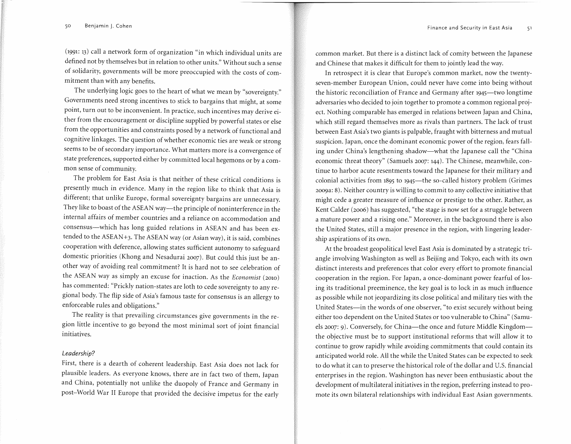(1991: 13) call a network form of organization "in which individual units are defined not by themselves but in relation to other units." Without such a sense of solidarity, governments will be more preoccupied with the costs of commitment than with any benefits.

The underlying logic goes to the heart of what we mean by "sovereignty." Governments need strong incentives to stick to bargains that might, at some point, turn out to be inconvenient. In practice, such incentives may derive either from the encouragement or discipline supplied by powerful states or else from the opportunities and constraints posed by a network of functional and cognitive linkages. The question of whether economic ties are weak or strong seems to be of secondary importance. What matters more is a convergence of state preferences, supported either by committed local hegemons or by a common sense of community.

The problem for East Asia is that neither of these critical conditions is presently much in evidence. Many in the region like to think that Asia is different; that unlike Europe, formal sovereignty bargains are unnecessary. They like to boast of the ASEAN way-the principle of noninterference in the internal affairs of member countries and a reliance on accommodation and consensus-which has long guided relations in ASEAN and has been extended to the ASEAN+3. The ASEAN way (or Asian way), it is said, combines cooperation with deference, allowing states sufficient autonomy to safeguard domestic priorities (Khong and Nesadurai 2007). But could this just be another way of avoiding real commitment? It is hard not to see celebration of the ASEAN way as simply an excuse for inaction. As the *Economist* (2010) has commented: "Prickly nation-states are loth to cede sovereignty to any regional body. The flip side of Asia's famous taste for consensus is an allergy to enforceable rules and obligations."

The reality is that prevailing circumstances give governments in the region little incentive to go beyond the most minimal sort of joint financial initiatives.

#### *Leadership?*

First, there is a dearth of coherent leadership. East Asia does not lack for plausible leaders. As everyone knows, there are in fact two of them, Japan and China, potentially not unlike the duopoly of France and Germany in post-World War II Europe that provided the decisive impetus for the early

common market. But there is a distinct lack of comity between the Japanese and Chinese that makes it difficult for them to jointly lead the way.

In retrospect it is clear that Europe's common market, now the twentyseven-member European Union, could never have come into being without the historic reconciliation of France and Germany after 1945—two longtime adversaries who decided to join together to promote a common regional project. Nothing comparable has emerged in relations between Japan and China, which still regard themselves more as rivals than partners. The lack of trust between East Asia's two giants is palpable, fraught with bitterness and mutual suspicion. Japan, once the dominant economic power of the region, fears falling under China's lengthening shadow-what the Japanese call the "China economic threat theory" (Samuels 2007: 144). The Chinese, meanwhile, continue to harbor acute resentments toward the Japanese for their military and colonial activities from 1895 to 1945—the so-called history problem (Grimes 2009a: 8). Neither country is willing to commit to any collective initiative that might cede a greater measure of influence or prestige to the other. Rather, as Kent Calder (2006) has suggested, "the stage is now set for a struggle between a mature power and a rising one." Moreover, in the background there is also the United States, still a major presence in the region, with lingering leadership aspirations of its own.

At the broadest geopolitical level East Asia is dominated by a strategic triangle involving Washington as well as Beijing and Tokyo, each with its own distinct interests and preferences that color every effort to promote financial cooperation in the region. For Japan, a once-dominant power fearful of losing its traditional preeminence, the key goal is to lock in as much influence as possible while not jeopardizing its close political and military ties with the United States-in the words of one observer, "to exist securely without being either too dependent on the United States or too vulnerable to China" (Samuels 2007: 9). Conversely, for China-the once and future Middle Kingdomthe objective must be to support institutional reforms that will allow it to continue to grow rapidly while avoiding commitments that could contain its anticipated world role. All the while the United States can be expected to seek to do what it can to preserve the historical role of the dollar and U.S. financial enterprises in the region. Washington has never been enthusiastic about the development of multilateral initiatives in the region, preferring instead to promote its own bilateral relationships with individual East Asian governments.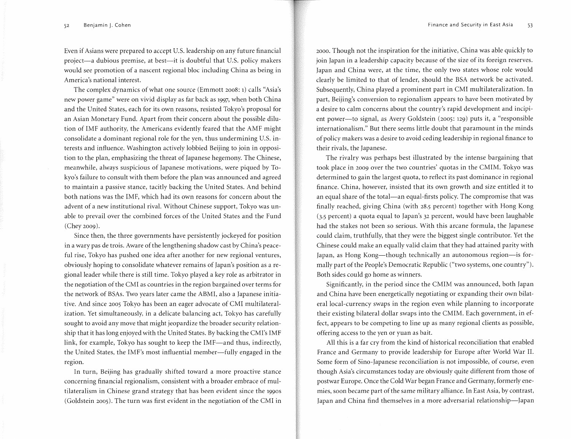Even if Asians were prepared to accept U.S. leadership on any future financial project-a dubious premise, at best-it is doubtful that U.S. policy makers would see promotion of a nascent regional bloc including China as being in America's national interest.

The complex dynamics of what one source (Emmott 2008: 1) calls "Asia's new power game" were on vivid display as far back as 1997, when both China and the United States, each for its own reasons, resisted Tokyo's proposal for an Asian Monetary Fund. Apart from their concern about the possible dilution of IMF authority, the Americans evidently feared that the AMF might consolidate a dominant regional role for the yen, thus undermining U.S. interests and influence. Washington actively lobbied Beijing to join in opposition to the plan, emphasizing the threat of Japanese hegemony. The Chinese, meanwhile, always suspicious of Japanese motivations, were piqued by Tokyo's failure to consult with them before the plan was announced and agreed to maintain a passive stance, tacitly backing the United States. And behind both nations was the IMF, which had its own reasons for concern about the advent of a new institutional rival. Without Chinese support, Tokyo was unable to prevail over the combined forces of the United States and the Fund ( Chey 2009).

Since then, the three governments have persistently jockeyed for position in a wary pas de trois. Aware of the lengthening shadow cast by China's peaceful rise, Tokyo has pushed one idea after another for new regional ventures, obviously hoping to consolidate whatever remains of Japan's position as aregional leader while there is still time. Tokyo played a key role as arbitrator in the negotiation of the CMI as countries in the region bargained over terms for the network of BSAs. Two years later came the ABMI, also a Japanese initiative. And since 2005 Tokyo has been an eager advocate of CMI multilateralization. Yet simultaneously, in a delicate balancing act, Tokyo has carefully sought to avoid any move that might jeopardize the broader security relationship that it has long enjoyed with the United States. By backing the CMI's IMF link, for example, Tokyo has sought to keep the IMF—and thus, indirectly, the United States, the IMP's most influential member-fully engaged in the region.

In turn, Beijing has gradually shifted toward a more proactive stance concerning financial regionalism, consistent with a broader embrace of multilateralism in Chinese grand strategy that has been evident since the 1990s (Goldstein 2005). The turn was first evident in the negotiation of the CMI in

2000. Though not the inspiration for the initiative, China was able quickly to join Japan in a leadership capacity because of the size of its foreign reserves. Japan and China were, at the time, the only two states whose role would clearly be limited to that of lender, should the BSA network be activated. Subsequently, China played a prominent part in CMI multilateralization. In part, Beijing's conversion to regionalism appears to have been motivated by a desire to calm concerns about the country's rapid development and incipient power-to signal, as Avery Goldstein (2005: 129) puts it, a "responsible internationalism." But there seems little doubt that paramount in the minds of policy makers was a desire to avoid ceding leadership in regional finance to their rivals, the Japanese.

The rivalry was perhaps best illustrated by the intense bargaining that took place in 2009 over the two countries' quotas in the CMIM. Tokyo was determined to gain the largest quota, to reflect its past dominance in regional finance. China, however, insisted that its own growth and size entitled it to an equal share of the total-an equal-firsts policy. The compromise that was finally reached, giving China (with 28.5 percent) together with Hong Kong (3.5 percent) a quota equal to Japan's 32 percent, would have been laughable had the stakes not been so serious. With this arcane formula, the Japanese could claim, truthfully, that they were the biggest single contributor. Yet the Chinese could make an equally valid claim that they had attained parity with Japan, as Hong Kong—though technically an autonomous region—is formally part of the People's Democratic Republic ("two systems, one country"). Both sides could go home as winners.

Significantly, in the period since the CMIM was announced, both Japan and China have been energetically negotiating or expanding their own bilateral local-currency swaps in the region even while planning to incorporate their existing bilateral dollar swaps into the CMIM. Each government, in effect, appears to be competing to line up as many regional clients as possible, offering access to the yen or yuan as bait.

All this is a far cry from the kind of historical reconciliation that enabled France and Germany to provide leadership for Europe after World War II. Some form of Sino-Japanese reconciliation is not impossible, of course, even though Asia's circumstances today are obviously quite different from those of postwar Europe. Once the Cold War began France and Germqny, formerly enemies, soon became part of the same military alliance. In East Asia, by contrast, Japan and China find themselves in a more adversarial relationship-Japan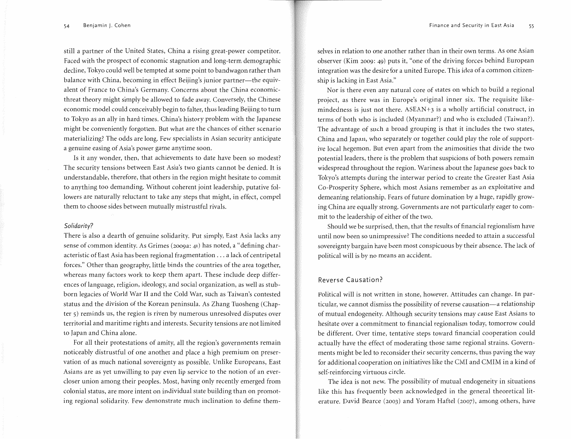still a partner of the United States, China a rising great-power competitor. Faced with the prospect of economic stagnation and long-term demographic decline, Tokyo could well be tempted at some point to bandwagon rather than balance with China, becoming in effect Beijing's junior partner—the equivalent of France to China's Germany. Concerns about the China economicthreat theory might simply be allowed to fade away. Conversely, the Chinese economic model could conceivably begin to falter, thus leading Beijing to turn to Tokyo as an ally in hard times. China's history problem with the Japanese might be conveniently forgotten. But what are the chances of either scenario materializing? The odds are long. Few specialists in Asian security anticipate a genuine easing of Asia's power game anytime soon.

Is it any wonder, then, that achievements to date have been so modest? The security tensions between East Asia's two giants cannot be denied. It is understandable, therefore, that others in the region might hesitate to commit to anything too demanding. Without coherent joint leadership, putative followers are naturally reluctant to take any steps that might, in effect, compel them to choose sides between mutually mistrustful rivals.

#### *Solidarity?*

There is also a dearth of genuine solidarity. Put simply, East Asia lacks any sense of common identity. As Grimes (2009a: 41) has noted, a "defining characteristic of East Asia has been regional fragmentation ... a lack of centripetal forces." Other than geography, little binds the countries of the area together, whereas many factors work to keep them apart. These include deep differences of language, religion, ideology, and social organization, as well as stubborn legacies of World War II and the Cold War, such as Taiwan's contested status and the division of the Korean peninsula. As Zhang Tuosheng (Chapter 5) reminds us, the region is riven by numerous unresolved disputes over territorial and maritime rights and interests. Security tensions are not limited to Japan and China alone.

For all their protestations of amity, all the region's governments remain noticeably distrustful of one another and place a high premium on preservation of as much national sovereignty as possible. Unlike Europeans, East Asians are as yet unwilling to pay even lip service to the notion of an evercloser union among their peoples. Most, having only recently emerged from colonial status, are more intent on individual state building than on promoting regional solidarity. Few demonstrate much inclination to define them-

selves in relation to one another rather than in their own terms. As one Asian observer (Kim 2009: 49) puts it, "one of the driving forces behind European integration was the desire for a united Europe. This idea of a common citizenship is lacking in East Asia."

Nor is there even any natural core of states on which to build a regional project, as there was in Europe's original inner six. The requisite likemindedness is just not there. ASEAN+3 is a wholly artificial construct, in terms of both who is included (Myanmar?) and who is excluded (Taiwan?). The advantage of such a broad grouping is that it includes the two states, China and Japan, who separately or together could play the role of supportive local hegemon. But even apart from the animosities that divide the two potential leaders, there is the problem that suspicions of both powers remain widespread throughout the region. Wariness about the Japanese goes back to Tokyo's attempts during the interwar period to create the Greater East Asia Co-Prosperity Sphere, which most Asians remember as an exploitative and demeaning relationship. Fears of future domination by a huge, rapidly growing China are equally strong. Governments are not particularly eager to commit to the leadership of either of the two.

Should we be surprised, then, that the results of financial regionalism have until now been so unimpressive? The conditions needed to attain a successful sovereignty bargain have been most conspicuous by their absence. The lack of political will is by no means an accident.

## Reverse Causation?

Political will is not written in stone, however. Attitudes can change. In particular, we cannot dismiss the possibility of reverse causation-a relationship of mutual endogeneity. Although security tensions may cause East Asians to hesitate over a commitment to financial regionalism today, tomorrow could be different. Over time, tentative steps toward financial cooperation could actually have the effect of moderating those same regional strains. Governments might be led to reconsider their security concerns, thus paving the way for additional cooperation on initiatives like the CMI and CMLM in a kind of self-reinforcing virtuous circle.

The idea is not new. The possibility of mutual endogeneity in situations like this has frequently been acknowledged in the general theoretical literature. David Bearce (2003) and Yoram Haftel (2007), among others, have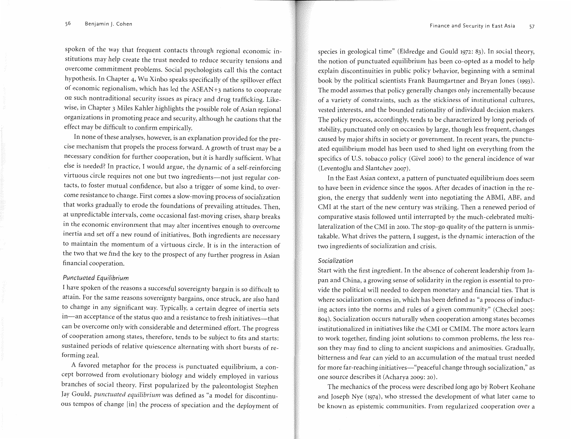spoken of the way that frequent contacts through regional economic institutions may help create the trust needed to reduce security tensions and overcome commitment problems. Social psychologists call this the contact hypothesis. In Chapter 4, Wu Xinbo speaks specifically of the spillover effect of economic regionalism, which has led the ASEAN +3 nations to cooperate on such nontraditional security issues as piracy and drug trafficking. Likewise, in Chapter 3 Miles Kahler highlights the possible role of Asian regional organizations in promoting peace and security, although he cautions that the effect may be difficult to confirm empirically.

In none of these analyses, however, is an explanation provided for the precise mechanism that propels the process forward. A growth of trust may be a necessary condition for further cooperation, but it is hardly sufficient. What else is needed? In practice, I would argue, the dynamic of a self-reinforcing virtuous circle requires not one but two ingredients-not just regular contacts, to foster mutual confidence, but also a trigger of some kind, to overcome resistance to change. First comes a slow-moving process of socialization that works gradually to erode the foundations of prevailing attitudes. Then, at unpredictable intervals, come occasional fast-moving crises, sharp breaks in the economic environment that may alter incentives enough to overcome inertia and set off a new round of initiatives. Both ingredients are necessary to maintain the momentum of a virtuous circle. It is in the interaction of the two that we find the key to the prospect of any further progress in Asian financial cooperation.

# *Punctuated Equilibrium*

I have spoken of the reasons a successful sovereignty bargain is so difficult to attain. For the same reasons sovereignty bargains, once struck, are also hard to change in any significant way. Typically, a certain degree of inertia sets in-an acceptance of the status quo and a resistance to fresh initiatives-that can be overcome only with considerable and determined effort. The progress of cooperation among states, therefore, tends to be subject to fits and starts: sustained periods of relative quiescence alternating with short bursts of reforming zeal.

A favored metaphor for the process is punctuated equilibrium, a concept borrowed from evolutionary biology and widely employed in various branches of social theory. First popularized by the paleontologist Stephen Jay Gould, *punctuated equilibrium* was defined as "a model for discontinuous tempos of change [in] the process of speciation and the deployment of

species in geological time" (Eldredge and Gould 1972: 83). In social theory, the notion of punctuated equilibrium has been co-opted as a model to help explain discontinuities in public policy behavior, beginning with a seminal book by the political scientists Frank Baumgartner and Bryan Jones (1993). The model assumes that policy generally changes only incrementally because of a variety of constraints, such as the stickiness of institutional cultures, vested interests, and the bounded rationality of individual decision makers. The policy process, accordingly, tends to be characterized by long periods of stability, punctuated only on occasion by large, though less frequent, changes caused by major shifts in society or government. In recent years, the punctuated equilibrium model has been used to shed light on everything from the specifics of U.S. tobacco policy ( Givel 2006) to the general incidence of war (Leventoglu and Slantchev 2007).

In the East Asian context, a pattern of punctuated equilibrium does seem to have been in evidence since the 1990s. After decades of inaction in the region, the energy that suddenly went into negotiating the ABMI, ABF, and CMI at the start of the new century was striking. Then a renewed period of comparative stasis followed until interrupted by the much-celebrated multilateralization of the CMI in 2010. The stop-go quality of the pattern is unmistakable. What drives the pattern, I suggest, is the dynamic interaction of the two ingredients of socialization and crisis.

#### *Socialization*

Start with the first ingredient. In the absence of coherent leadership from Japan and China, a growing sense of solidarity in the region is essential to provide the political will needed to deepen monetary and financial ties. That is where socialization comes in, which has been defined as "a process of inducting actors into the norms and rules of a given community" ( Checkel 2005: 804). Socialization occurs naturally when cooperation among states becomes institutionalized in initiatives like the CMI or CMIM. The more actors learn to work together, finding joint solutions to common problems, the less reason they may find to cling to ancient suspicions and animosities. Gradually, bitterness and fear can yield to an accumulation of the mutual trust needed for more far-reaching initiatives—"peaceful change through socialization," as one source describes it (Acharya 2009: 20).

The mechanics of the process were described long ago by Robert Keohane and Joseph Nye (1974), who stressed the development of what later came to be known as epistemic communities. From regularized cooperation over a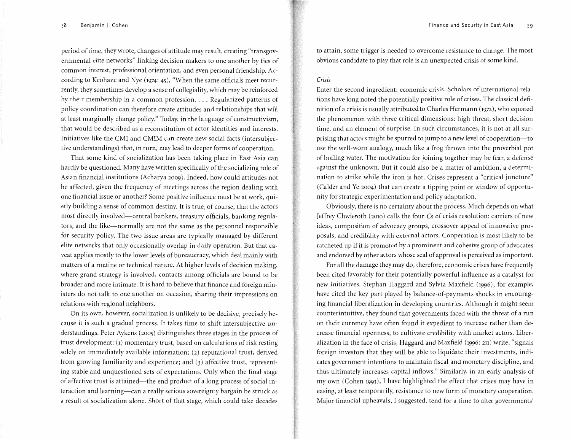period of time, they wrote, changes of attitude may result, creating "transgovernmental elite networks" linking decision makers to one another by ties of common interest, professional orientation, and even personal friendship. According to Keohane and Nye (1974: 45), "When the same officials meet recurrently, they sometimes develop a sense of collegiality, which may be reinforced by their membership in a common profession. . . . Regularized patterns of policy coordination can therefore create attitudes and relationships that will at least marginally change policy." Today, in the language of constructivism, that would be described as a reconstitution of actor identities and interests. Initiatives like the CMI and CMIM can create new social facts (intersubjective understandings) that, in turn, may lead to deeper forms of cooperation.

That some kind of socialization has been taking place in East Asia can hardly be questioned. Many have written specifically of the socializing role of Asian financial institutions (Acharya 2009). Indeed, how could attitudes not be affected, given the frequency of meetings across the region dealing with one financial issue or another? Some positive influence must be at work, quietly building a sense of common destiny. It is true, of course, that the actors most directly involved—central bankers, treasury officials, banking regulators, and the like-normally are not the same as the personnel responsible for security policy. The two issue areas are typically managed by different elite networks that only occasionally overlap in daily operation. But that caveat applies mostly to the lower levels of bureaucracy, which deal mainly with matters of a routine or technical nature. At higher levels of decision making, where grand strategy is involved, contacts among officials are bound to be broader and more intimate. It is hard to believe that finance and foreign ministers do not talk to one another on occasion, sharing their impressions on relations with regional neighbors.

On its own, however, socialization is unlikely to be decisive, precisely because it is such a gradual process. It takes time to shift intersubjective understandings. Peter Aykens (2005) distinguishes three stages in the process of trust development: (1) momentary trust, based on calculations of risk resting solely on immediately available information; (2) reputational trust, derived from growing familiarity and experience; and (3) affective trust, representing stable and unquestioned sets of expectations. Only when the final stage of affective trust is attained-the end product of a long process of social interaction and learning-can a really serious sovereignty bargain be struck as a result of socialization alone. Short of that stage, which could take decades

to attain, some trigger is needed to overcome resistance to change. The most obvious candidate to play that role is an unexpected crisis of some kind.

#### *Crisis*

Enter the second ingredient: economic crisis. Scholars of international relations have long noted the potentially positive role of crises. The classical definition of a crisis is usually attributed to Charles Hermann (1972), who equated the phenomenon with three critical dimensions: high threat, short decision time, and an element of surprise. In such circumstances, it is not at all surprising that actors might be spurred to jump to a new level of cooperation-to use the well-worn analogy, much like a frog thrown into the proverbial pot of boiling water. The motivation for joining together may be fear, a defense against the unknown. But it could also be a matter of ambition, a determination to strike while the iron is hot. Crises represent a "critical juncture" (Calder and Ye 2004) that can create a tipping point or window of opportunity for strategic experimentation and policy adaptation.

Obviously, there is no certainty about the process. Much depends on what Jeffrey Chwieroth (2010) calls the four Cs of crisis resolution: carriers of new ideas, composition of advocacy groups, crossover appeal of innovative proposals, and credibility with external actors. Cooperation is most likely to be ratcheted up if it is promoted by a prominent and cohesive group of advocates and endorsed by other actors whose seal of approval is perceived as important.

For all the damage they may do, therefore, economic crises have frequently been cited favorably for their potentially powerful influence as a catalyst for new initiatives. Stephan Haggard and Sylvia Maxfield (1996), for example, have cited the key part played by balance-of-payments shocks in encouraging financial liberalization in developing countries. Although it might seem counterintuitive, they found that governments faced with the threat of a run on their currency have often found it expedient to increase rather than decrease financial openness, to cultivate credibility with market actors. Liberalization in the face of crisis, Haggard and Maxfield (1996: 211) write, "signals foreign investors that they will be able to liquidate their investments, indicates government intentions to maintain fiscal and monetary discipline, and thus ultimately increases capital inflows." Similarly, in an early analysis of my own (Cohen 1993), I have highlighted the effect that crises may have in easing, at least temporarily, resistance to new form of monetary cooperation. Major financial upheavals, I suggested, tend for a time to alter governments'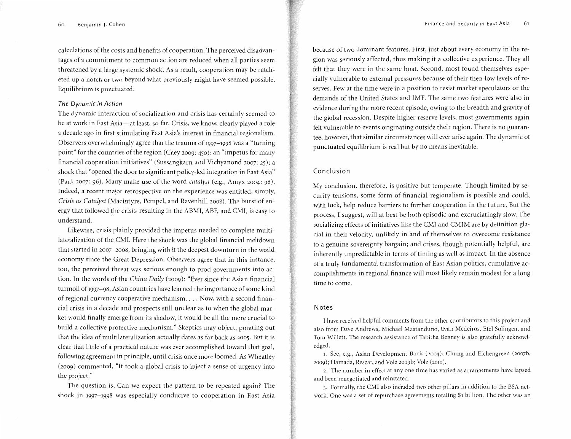calculations of the costs and benefits of cooperation. The perceived disadvantages of a commitment to common action are reduced when all parties *seem*  threatened by a large systemic shock. As a result, cooperation may *be* ratch*eted* up a notch or two beyond what previously might have *seemed* possible. Equilibrium is punctuated.

#### *The Dynamic in Action*

The dynamic interaction of socialization and crisis has certainly *seemed* to *be* at work in East Asia-at least, so far. Crisis, *we* know, clearly played a role a decade ago in first stimulating East Asia's interest in financial regionalism. Observers overwhelmingly agree that the trauma of 1997-1998 was a "turning point" for the countries of the region (Chey 2009: 450); an "impetus for many financial cooperation initiatives" (Sussangkarn and Vichyanond 2007: 25); a shock that "opened the door to significant policy-led integration in East Asia" (Park 2007: 96). Many make use of the word *catalyst (e.g.,* Amyx 2004: 98). Indeed, a *recent* major retrospective on the experience was entitled, simply, *Crisis as Catalyst* (Macintyre, Pempel, and Ravenhill 2008). The burst of *en*ergy that followed the crisis, resulting in the ABMI, ABF, and CMI, is easy to understand.

Likewise, crisis plainly provided the impetus *needed* to complete multilateralization of the CMI. *Here* the shock was the global financial meltdown that started in 2007-2008, bringing with it the deepest downturn in the world economy since the Great Depression. Observers agree that in this instance, too, the perceived threat was serious enough to prod governments into action. In the words of the *China Daily* (2009): "Ever since the Asian financial turmoil of 1997-98, Asian countries have learned the importance of *some* kind of regional currency cooperative mechanism .... Now, with a second financial crisis in a decade and prospects still unclear as to when the global market would finally *emerge* from its shadow, it would *be* all the *more* crucial to build a collective protective mechanism." Skeptics may object, pointing out that the idea of multilateralization actually dates as far back as 2005. But it is clear that little of a practical nature was ever accomplished toward that goal, following agreement in principle, until crisis *once more* loomed. As Wheatley (2009) commented, "It took a global crisis to inject a *sense* of urgency into the project."

The question is, Can *we* expect the pattern to *be* repeated again? The shock in 1997-1998 was especially conducive to cooperation in East Asia

because of two dominant features. First, just about every economy in the *re*gion was seriously affected, thus making it a collective experience. They all felt that they *were* in the same boat. Second, most found themselves especially vulnerable to external pressures because of their then-low levels of *re*serves. *Few* at the time *were* in a position to resist market speculators or the demands of the United States and IMF. The same two features *were* also in evidence during the *more recent* episode, owing to the breadth and gravity of the global recession. Despite higher *reserve* levels, most governments again felt vulnerable to events originating outside their region. There is no guaran*tee,* however, that similar circumstances will ever arise again. The dynamic of punctuated equilibrium is real but by no means inevitable.

#### Conclusion

My conclusion, therefore, is positive but temperate. Though limited by *se*curity tensions, *some* form of financial regionalism is possible and could, with luck, help reduce barriers to further cooperation in the future. But the process, I suggest, will at best *be* both episodic and excruciatingly slow. The socializing *effects* of initiatives like the CMI and CMIM are by definition glacial in their velocity, unlikely in and of themselves to overcome resistance to a genuine sovereignty bargain; and crises, though potentially helpful, are inherently unpredictable in terms of timing as well as impact. In the absence of a truly fundamental transformation of East Asian politics, cumulative accomplishments in regional finance will most likely remain modest for a long time to *come.* 

## Notes

I have received helpful comments from the other contributors to this project and also from Dave Andrews, Michael Mastanduno, Evan Medeiros, Etel Solingen, and Tom Willett. The research assistance of Tabitha Benney is also gratefully acknowledged.

1. See, e.g., Asian Development Bank (2004); Chung and Eichengreen (2007b, 2009); Hamada, Reszat, and Volz 2009b; Volz (2010).

2. The number in effect at any one time has varied as arrangements have lapsed and been renegotiated and reinstated.

3. Formally, the CMI also included two other pillars in addition to the BSA network. One was a set of repurchase agreements totaling \$1 billion. The other was an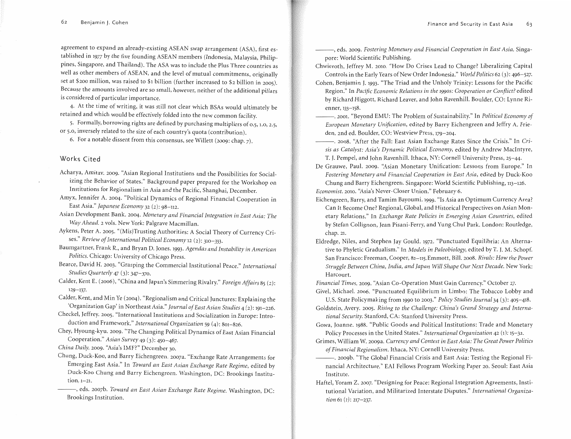agreement to expand an already-existing ASEAN swap arrangement (ASA), first established in 1977 by the five founding ASEAN members (Indonesia, Malaysia, Philippines, Singapore, and Thailand). The ASA was to include the Plus Three countries as well as other members of ASEAN, and the level of mutual commitments, originally set at \$200 million, was raised to \$1 billion (further increased to \$2 billion in 2005). Because the amounts involved are so small, however, neither of the additional pillars is considered of particular importance.

4· At the time of writing, it was still not clear which BSAs would ultimately be retained and which would be effectively folded into the new common facility.

5· Formally, borrowing rights are defined by purchasing multipliers of o.s, 1.0, 2.5, or s.o, inversely related to the size of each country's quota (contribution).

6. For a notable dissent from this consensus, see Willett (2009: chap. 7).

# **Works Cited**

- Acharya, Amitav. 2009. "Asian Regional Institutions and the Possibilities for Socializing the Behavior of States." Background paper prepared for the Workshop on Institutions for Regionalism in Asia and the Pacific, Shanghai, December.
- Amyx, Jennifer A. 2004. "Political Dynamics of Regional Financial Cooperation in East Asia." *Japanese Economy* 32 (2): 98-112.
- Asian Development Bank. 2004. *Monetary and Financial Integration in East Asia: The Way Ahead.* 2 vols. New York: Palgrave Macmillan.
- Aykens, Peter A. 2005. "(Mis)Trusting Authorities: A Social Theory of Currency Crises." *Review of International Political Economy* 12 (2): 310-333.
- Baumgartner, Frank R., and Bryan D. Jones. 1993. *Agendas and Instability in American Politics.* Chicago: University of Chicago Press.
- Bearce, David H. 2003. "Grasping the Commercial Institutional Peace." *International Studies Quarterly* 47 (3): 347-370.
- Calder, Kent E. (2006), "China and Japan's Simmering Rivalry." *Foreign Affairs* 85 (2):  $129 - 137$
- Calder, Kent, and Min Ye (2004). "Regionalism and Critical Junctures: Explaining the 'Organization Gap' in Northeast Asia." *Journal of East Asian Studies* 4 (2): 191-226.
- Checkel, Jeffrey. 2005. "International Institutions and Socialization in Europe: Introduction and Framework." *International Organization* 59 (4): 801-826.
- Chey, Hyoung-kyu. 2009. "The Changing Political Dynamics of East Asian Financial Cooperation." *Asian Survey* 49 (3): 450-467.
- *China Daily.* 2009. "Asia's IMF?" December 30.
- Chung, Duck-Koo, and Barry Eichengreen. 2007a. "Exchange Rate Arrangements for Emerging East Asia." In *Toward an East Asian Exchange Rate Regime,* edited by Duck-Koo Chung and Barry Eichengreen. Washington, DC: Brookings Institu $tion, 1-21.$ 
	- ---, eds. 2007b. *Toward an East Asian Exchange Rate Regime.* Washington, DC: Brookings Institution.
- ---, eds. 2009. *Fostering Monetary and Financial Cooperation in East Asia.* Singapore: World Scientific Publishing.
- Chwieroth, Jeffrey M. 2010. "How Do Crises Lead to Change? Liberalizing Capital Controls in the Early Years of New Order Indonesia." *World Politics* 62 (3): 496–527.
- Cohen, Benjamin **J.** 1993. "The Triad and the Unholy Trinity: Lessons for the Pacific Region." In *Pacific Economic Relations in the 1990s: Cooperation or Conflict?* edited by Richard Higgott, Richard Leaver, and John Ravenhill. Boulder, CO: Lynne Rienner, 133-158.
	- ---. 2001. "Beyond EMU: The Problem of Sustainability." In *Political Economy of European Monetary Unification,* edited by Barry Eichengreen and Jeffry A. Frieden. 2nd ed. Boulder, CO: Westview Press, 179-204.
- ---. 2008. "After the Fall: East Asian Exchange Rates Since the Crisis." In *Crisis as Catalyst: Asia's Dynamic Political Economy,* edited by Andrew Macintyre, T. J. Pempel, and John Ravenhill. Ithaca, NY: Cornell University Press, 25-44.
- De Grauwe, Paul. 2009. "Asian Monetary Unification: Lessons from Europe." In *Fostering Monetary and Financial Cooperation in East Asia,* edited by Duck-Koo Chung and Barry Eichengreen. Singapore: World Scientific Publishing, 113-126.

*Economist.* 2010. "Asia's Never-Closer Union." February 6.

- Eichengreen, Barry, and Tamim Bayoumi. 1999. "Is Asia an Optimum Currency Area? Can It Become One? Regional, Global, and Historical Perspectives on Asian Monetary Relations." In *Exchange Rate Policies in Emerging Asian Countries,* edited by Stefan Collignon, Jean Pisani-Ferry, and Yung Chul Park. London: Routledge, chap.21.
- Eldredge, Niles, and Stephen Jay Gould. 1972. "Punctuated Equilibria: An Alternative to Phyletic Gradualism." In *Models in Paleobiology,* edited by T. **J.** M. Schopf. San Francisco: Freeman, Cooper, 82-115.Emmott, Bill. 2008. *Rivals: How the Power Struggle Between China, India, and Japan Will Shape Our Next Decade.* New York: Harcourt.

*Financial Times.* 2009. "Asian Co-Operation Must Gain Currency." October 27. Givel, Michael. 2006. "Punctuated Equilibrium in Limbo: The Tobacco Lobby and

- U.S. State Policymaking from 1990 to 2003." *Policy Studies Journal* 34 (3): 405-418.
- Goldstein, Avery. 2005. *Rising to the Challenge: China's Grand Strategy and International Security.* Stanford, CA: Stanford University Press.
- Gowa, Joanne. 1988. "Public Goods and Political Institutions: Trade and Monetary Policy Processes in the United States." *International Organization* 42 (1): 15-32.
- Grimes, William W. 2009a. *Currency and Contest in East Asia: The Great Power Politics of Financial Regionalism.* Ithaca, NY: Cornell University Press.
- ---. 2009b. "The Global Financial Crisis and East Asia: Testing the Regional Financial Architecture." EAI Fellows Program Working Paper 20. Seoul: East Asia Institute.
- Haftel, Yoram Z. 2007. "Designing for Peace: Regional Integration Agreements, Institutional Variation, and Militarized Interstate Disputes." *International Organization* 61 (1): 217-237.